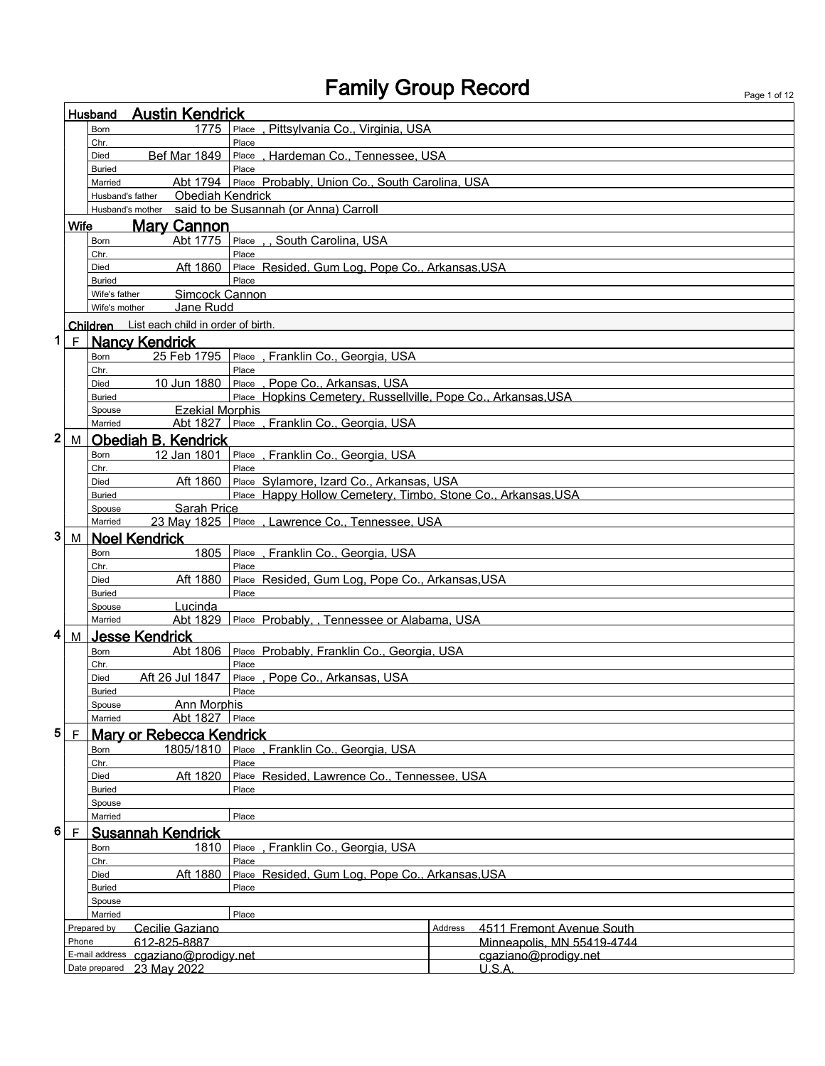|                         |              | <b>Austin Kendrick</b><br>Husband                         |                                                               |                                                         |  |  |
|-------------------------|--------------|-----------------------------------------------------------|---------------------------------------------------------------|---------------------------------------------------------|--|--|
|                         |              | Born<br>1775                                              | Pittsylvania Co., Virginia, USA<br>Place                      |                                                         |  |  |
|                         |              | Chr.                                                      | Place                                                         |                                                         |  |  |
|                         |              | <b>Bef Mar 1849</b><br>Died                               | Hardeman Co., Tennessee, USA<br>Place                         |                                                         |  |  |
|                         |              | <b>Buried</b><br>Abt 1794<br>Married                      | Place<br>Place Probably, Union Co., South Carolina, USA       |                                                         |  |  |
|                         |              | <b>Obediah Kendrick</b><br>Husband's father               |                                                               |                                                         |  |  |
|                         |              | said to be Susannah (or Anna) Carroll<br>Husband's mother |                                                               |                                                         |  |  |
|                         | <b>Wife</b>  | <b>Mary Cannon</b>                                        |                                                               |                                                         |  |  |
|                         |              | Abt 1775<br>Born                                          | South Carolina, USA<br>Place                                  |                                                         |  |  |
|                         |              | Chr.                                                      | Place                                                         |                                                         |  |  |
|                         |              | Aft 1860<br>Died<br><b>Buried</b>                         | Place Resided, Gum Log, Pope Co., Arkansas, USA<br>Place      |                                                         |  |  |
|                         |              | Simcock Cannon<br>Wife's father                           |                                                               |                                                         |  |  |
|                         |              | Jane Rudd<br>Wife's mother                                |                                                               |                                                         |  |  |
|                         |              | Children List each child in order of birth.               |                                                               |                                                         |  |  |
| 1                       | F            | <b>Nancy Kendrick</b>                                     |                                                               |                                                         |  |  |
|                         |              | 25 Feb 1795<br>Born                                       | Place<br>, Franklin Co., Georgia, USA                         |                                                         |  |  |
|                         |              | Chr.                                                      | Place                                                         |                                                         |  |  |
|                         |              | 10 Jun 1880<br>Died                                       | Place, Pope Co., Arkansas, USA                                |                                                         |  |  |
|                         |              | <b>Buried</b><br><b>Ezekial Morphis</b>                   | Place Hopkins Cemetery, Russellville, Pope Co., Arkansas, USA |                                                         |  |  |
|                         |              | Spouse<br>Married                                         | Abt 1827 Place, Franklin Co., Georgia, USA                    |                                                         |  |  |
| $\overline{\mathbf{2}}$ |              | M Obediah B. Kendrick                                     |                                                               |                                                         |  |  |
|                         |              | 12 Jan 1801<br>Born                                       | Place, Franklin Co., Georgia, USA                             |                                                         |  |  |
|                         |              | Chr.                                                      | Place                                                         |                                                         |  |  |
|                         |              | Aft 1860<br>Died                                          | Place Sylamore, Izard Co., Arkansas, USA                      |                                                         |  |  |
|                         |              | <b>Buried</b>                                             | Place Happy Hollow Cemetery, Timbo, Stone Co., Arkansas, USA  |                                                         |  |  |
|                         |              | Sarah Price<br>Spouse<br>Married                          | 23 May 1825 Place , Lawrence Co., Tennessee, USA              |                                                         |  |  |
| 3                       |              | M Noel Kendrick                                           |                                                               |                                                         |  |  |
|                         |              | 1805<br>Born                                              | Place, Franklin Co., Georgia, USA                             |                                                         |  |  |
|                         |              | Chr.                                                      | Place                                                         |                                                         |  |  |
|                         |              | Aft 1880<br>Died                                          | Place Resided, Gum Log, Pope Co., Arkansas, USA               |                                                         |  |  |
|                         |              | <b>Buried</b>                                             | Place                                                         |                                                         |  |  |
|                         |              | Lucinda<br>Spouse<br>Married                              | Abt 1829 Place Probably. . Tennessee or Alabama. USA          |                                                         |  |  |
| 4                       |              | M Jesse Kendrick                                          |                                                               |                                                         |  |  |
|                         |              | Abt 1806<br>Born                                          | Place Probably, Franklin Co., Georgia, USA                    |                                                         |  |  |
|                         |              | Chr.                                                      | Place                                                         |                                                         |  |  |
|                         |              | Aft 26 Jul 1847<br>Died                                   | Pope Co., Arkansas, USA<br>Place                              |                                                         |  |  |
|                         |              | <b>Buried</b>                                             | Place                                                         |                                                         |  |  |
|                         |              | <b>Ann Morphis</b><br>Spouse<br>Abt 1827<br>Married       | Place                                                         |                                                         |  |  |
| 5                       | $\mathsf F$  | Mary or Rebecca Kendrick                                  |                                                               |                                                         |  |  |
|                         |              | 1805/1810<br>Born                                         | Place, Franklin Co., Georgia, USA                             |                                                         |  |  |
|                         |              | Chr.                                                      | Place                                                         |                                                         |  |  |
|                         |              | Aft 1820<br>Died                                          | Place Resided, Lawrence Co., Tennessee, USA                   |                                                         |  |  |
|                         |              | <b>Buried</b>                                             | Place                                                         |                                                         |  |  |
|                         |              | Spouse                                                    |                                                               |                                                         |  |  |
| 6                       |              | Married                                                   | Place                                                         |                                                         |  |  |
|                         | $\mathsf{F}$ | <b>Susannah Kendrick</b>                                  |                                                               |                                                         |  |  |
|                         |              | 1810<br>Born<br>Chr.                                      | Franklin Co., Georgia, USA<br>Place<br>Place                  |                                                         |  |  |
|                         |              | Aft 1880<br>Died                                          | Place Resided, Gum Log, Pope Co., Arkansas, USA               |                                                         |  |  |
|                         |              | <b>Buried</b>                                             | Place                                                         |                                                         |  |  |
|                         |              | Spouse                                                    |                                                               |                                                         |  |  |
|                         |              | Married                                                   | Place                                                         | Address                                                 |  |  |
|                         | Phone        | Prepared by<br>Cecilie Gaziano<br>612-825-8887            |                                                               | 4511 Fremont Avenue South<br>Minneapolis, MN 55419-4744 |  |  |
|                         |              | E-mail address cgaziano@prodigy.net                       |                                                               | cgaziano@prodigy.net                                    |  |  |
|                         |              | Date prepared 23 May 2022                                 |                                                               | U.S.A.                                                  |  |  |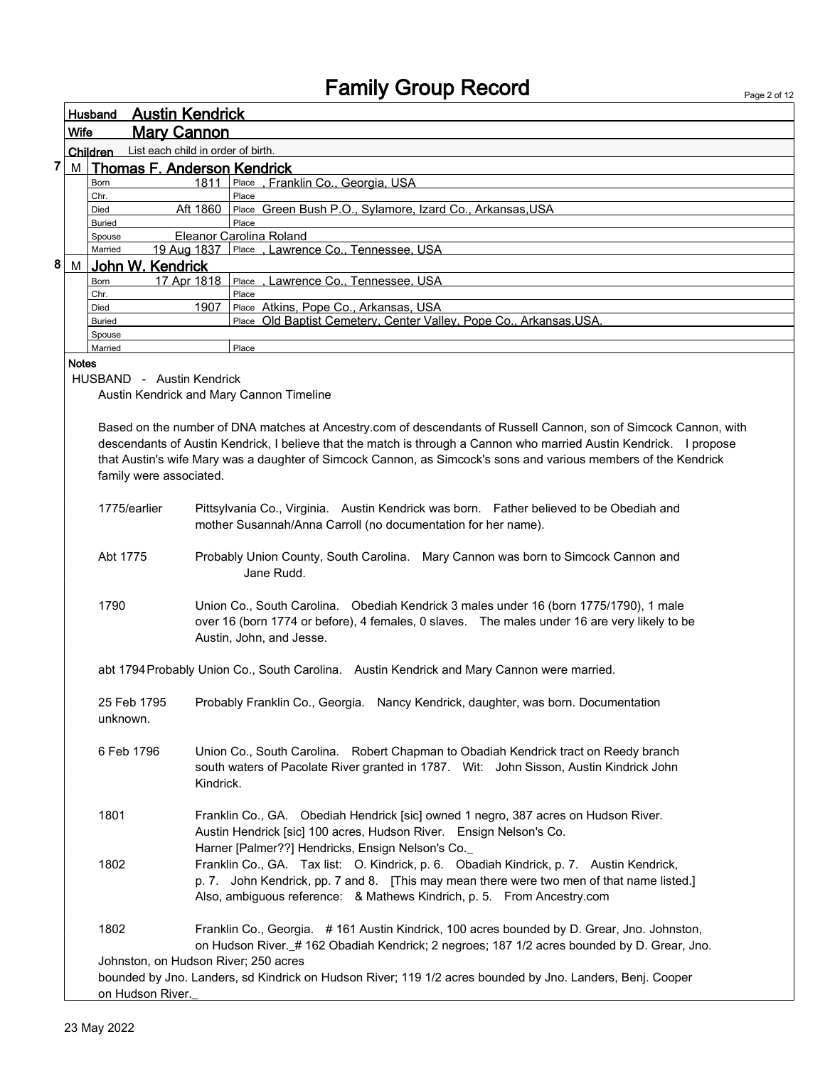|                                                                                               |                                                                                            | <b>Fallilly Gibup Record</b>                                                                                        | Page 2 of 12 |  |  |  |
|-----------------------------------------------------------------------------------------------|--------------------------------------------------------------------------------------------|---------------------------------------------------------------------------------------------------------------------|--------------|--|--|--|
|                                                                                               | Husband                                                                                    | <b>Austin Kendrick</b>                                                                                              |              |  |  |  |
| <b>Wife</b>                                                                                   |                                                                                            | <b>Mary Cannon</b>                                                                                                  |              |  |  |  |
|                                                                                               |                                                                                            | Children List each child in order of birth.                                                                         |              |  |  |  |
|                                                                                               |                                                                                            | M Thomas F. Anderson Kendrick                                                                                       |              |  |  |  |
|                                                                                               | Born                                                                                       | Place, Franklin Co., Georgia, USA<br>1811                                                                           |              |  |  |  |
|                                                                                               | Chr.                                                                                       | Place                                                                                                               |              |  |  |  |
|                                                                                               | Died                                                                                       | Aft 1860<br>Place Green Bush P.O., Sylamore, Izard Co., Arkansas, USA                                               |              |  |  |  |
|                                                                                               | Buried                                                                                     | Place                                                                                                               |              |  |  |  |
|                                                                                               | Spouse                                                                                     | Eleanor Carolina Roland                                                                                             |              |  |  |  |
| 8                                                                                             | Married<br>M John W. Kendrick                                                              | 19 Aug 1837 Place, Lawrence Co., Tennessee, USA                                                                     |              |  |  |  |
|                                                                                               |                                                                                            |                                                                                                                     |              |  |  |  |
|                                                                                               | Born                                                                                       | Place, Lawrence Co., Tennessee, USA<br>17 Apr 1818                                                                  |              |  |  |  |
|                                                                                               | Chr.<br>Died                                                                               | Place<br>Place Atkins, Pope Co., Arkansas, USA<br>1907                                                              |              |  |  |  |
|                                                                                               | <b>Buried</b>                                                                              | Place Old Baptist Cemetery, Center Valley, Pope Co., Arkansas, USA.                                                 |              |  |  |  |
|                                                                                               | Spouse                                                                                     |                                                                                                                     |              |  |  |  |
|                                                                                               | Married                                                                                    | Place                                                                                                               |              |  |  |  |
| <b>Notes</b>                                                                                  |                                                                                            |                                                                                                                     |              |  |  |  |
|                                                                                               | HUSBAND - Austin Kendrick                                                                  |                                                                                                                     |              |  |  |  |
|                                                                                               |                                                                                            | Austin Kendrick and Mary Cannon Timeline                                                                            |              |  |  |  |
|                                                                                               |                                                                                            |                                                                                                                     |              |  |  |  |
|                                                                                               |                                                                                            | Based on the number of DNA matches at Ancestry.com of descendants of Russell Cannon, son of Simcock Cannon, with    |              |  |  |  |
|                                                                                               |                                                                                            |                                                                                                                     |              |  |  |  |
|                                                                                               |                                                                                            | descendants of Austin Kendrick, I believe that the match is through a Cannon who married Austin Kendrick. I propose |              |  |  |  |
|                                                                                               |                                                                                            | that Austin's wife Mary was a daughter of Simcock Cannon, as Simcock's sons and various members of the Kendrick     |              |  |  |  |
|                                                                                               | family were associated.                                                                    |                                                                                                                     |              |  |  |  |
|                                                                                               |                                                                                            |                                                                                                                     |              |  |  |  |
|                                                                                               | 1775/earlier                                                                               | Pittsylvania Co., Virginia. Austin Kendrick was born. Father believed to be Obediah and                             |              |  |  |  |
|                                                                                               |                                                                                            | mother Susannah/Anna Carroll (no documentation for her name).                                                       |              |  |  |  |
|                                                                                               |                                                                                            |                                                                                                                     |              |  |  |  |
| Abt 1775<br>Probably Union County, South Carolina. Mary Cannon was born to Simcock Cannon and |                                                                                            |                                                                                                                     |              |  |  |  |
|                                                                                               |                                                                                            | Jane Rudd.                                                                                                          |              |  |  |  |
|                                                                                               |                                                                                            |                                                                                                                     |              |  |  |  |
|                                                                                               |                                                                                            |                                                                                                                     |              |  |  |  |
|                                                                                               | 1790                                                                                       | Union Co., South Carolina. Obediah Kendrick 3 males under 16 (born 1775/1790), 1 male                               |              |  |  |  |
|                                                                                               |                                                                                            | over 16 (born 1774 or before), 4 females, 0 slaves. The males under 16 are very likely to be                        |              |  |  |  |
|                                                                                               |                                                                                            | Austin, John, and Jesse.                                                                                            |              |  |  |  |
|                                                                                               |                                                                                            |                                                                                                                     |              |  |  |  |
|                                                                                               | abt 1794 Probably Union Co., South Carolina. Austin Kendrick and Mary Cannon were married. |                                                                                                                     |              |  |  |  |
|                                                                                               |                                                                                            |                                                                                                                     |              |  |  |  |
|                                                                                               | 25 Feb 1795                                                                                | Probably Franklin Co., Georgia. Nancy Kendrick, daughter, was born. Documentation                                   |              |  |  |  |
|                                                                                               | unknown.                                                                                   |                                                                                                                     |              |  |  |  |
|                                                                                               |                                                                                            |                                                                                                                     |              |  |  |  |
|                                                                                               | 6 Feb 1796                                                                                 | Union Co., South Carolina. Robert Chapman to Obadiah Kendrick tract on Reedy branch                                 |              |  |  |  |
|                                                                                               |                                                                                            | south waters of Pacolate River granted in 1787. Wit: John Sisson, Austin Kindrick John                              |              |  |  |  |
|                                                                                               |                                                                                            |                                                                                                                     |              |  |  |  |
|                                                                                               |                                                                                            | Kindrick.                                                                                                           |              |  |  |  |
|                                                                                               |                                                                                            |                                                                                                                     |              |  |  |  |
|                                                                                               | 1801                                                                                       | Franklin Co., GA. Obediah Hendrick [sic] owned 1 negro, 387 acres on Hudson River.                                  |              |  |  |  |
|                                                                                               |                                                                                            | Austin Hendrick [sic] 100 acres, Hudson River. Ensign Nelson's Co.                                                  |              |  |  |  |
|                                                                                               |                                                                                            | Harner [Palmer??] Hendricks, Ensign Nelson's Co.                                                                    |              |  |  |  |
|                                                                                               | 1802                                                                                       | Franklin Co., GA. Tax list: O. Kindrick, p. 6. Obadiah Kindrick, p. 7. Austin Kendrick,                             |              |  |  |  |
|                                                                                               |                                                                                            | p. 7. John Kendrick, pp. 7 and 8. [This may mean there were two men of that name listed.]                           |              |  |  |  |
|                                                                                               |                                                                                            | Also, ambiguous reference: & Mathews Kindrich, p. 5. From Ancestry.com                                              |              |  |  |  |
|                                                                                               |                                                                                            |                                                                                                                     |              |  |  |  |
|                                                                                               | 1802                                                                                       | Franklin Co., Georgia. #161 Austin Kindrick, 100 acres bounded by D. Grear, Jno. Johnston,                          |              |  |  |  |
|                                                                                               |                                                                                            |                                                                                                                     |              |  |  |  |
|                                                                                               |                                                                                            | on Hudson River._# 162 Obadiah Kendrick; 2 negroes; 187 1/2 acres bounded by D. Grear, Jno.                         |              |  |  |  |
|                                                                                               | Johnston, on Hudson River; 250 acres                                                       |                                                                                                                     |              |  |  |  |
|                                                                                               |                                                                                            | bounded by Jno. Landers, sd Kindrick on Hudson River; 119 1/2 acres bounded by Jno. Landers, Benj. Cooper           |              |  |  |  |
|                                                                                               | on Hudson River.                                                                           |                                                                                                                     |              |  |  |  |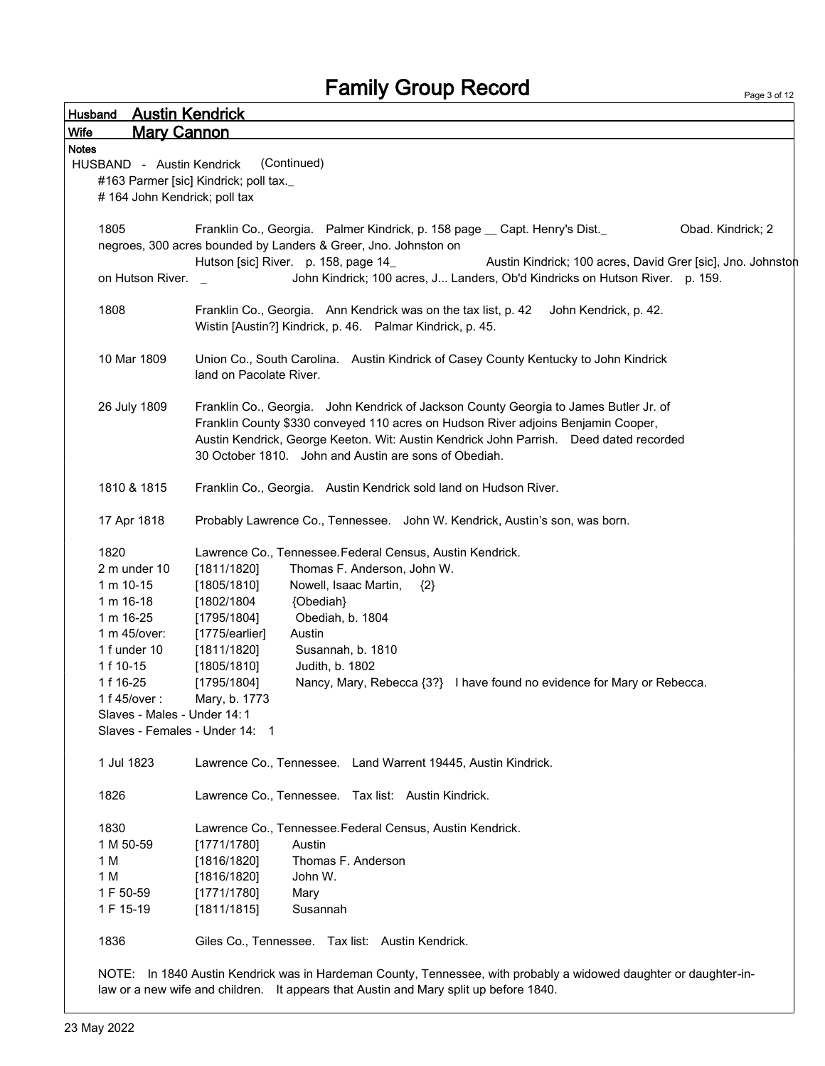Page 3 of 12

| <b>Austin Kendrick</b><br>Husband |                                                                                                                                                                                                                                                                                                                               |
|-----------------------------------|-------------------------------------------------------------------------------------------------------------------------------------------------------------------------------------------------------------------------------------------------------------------------------------------------------------------------------|
| <b>Wife</b><br><b>Mary Cannon</b> |                                                                                                                                                                                                                                                                                                                               |
| <b>Notes</b>                      |                                                                                                                                                                                                                                                                                                                               |
| HUSBAND - Austin Kendrick         | (Continued)                                                                                                                                                                                                                                                                                                                   |
|                                   | #163 Parmer [sic] Kindrick; poll tax.                                                                                                                                                                                                                                                                                         |
| #164 John Kendrick; poll tax      |                                                                                                                                                                                                                                                                                                                               |
| 1805                              | Obad. Kindrick; 2<br>Franklin Co., Georgia. Palmer Kindrick, p. 158 page _ Capt. Henry's Dist.<br>negroes, 300 acres bounded by Landers & Greer, Jno. Johnston on                                                                                                                                                             |
|                                   | Hutson [sic] River. p. 158, page 14<br>Austin Kindrick; 100 acres, David Grer [sic], Jno. Johnston                                                                                                                                                                                                                            |
| on Hutson River.                  | John Kindrick; 100 acres, J Landers, Ob'd Kindricks on Hutson River. p. 159.                                                                                                                                                                                                                                                  |
| 1808                              | Franklin Co., Georgia. Ann Kendrick was on the tax list, p. 42<br>John Kendrick, p. 42.<br>Wistin [Austin?] Kindrick, p. 46. Palmar Kindrick, p. 45.                                                                                                                                                                          |
| 10 Mar 1809                       | Union Co., South Carolina. Austin Kindrick of Casey County Kentucky to John Kindrick<br>land on Pacolate River.                                                                                                                                                                                                               |
| 26 July 1809                      | Franklin Co., Georgia. John Kendrick of Jackson County Georgia to James Butler Jr. of<br>Franklin County \$330 conveyed 110 acres on Hudson River adjoins Benjamin Cooper,<br>Austin Kendrick, George Keeton. Wit: Austin Kendrick John Parrish. Deed dated recorded<br>30 October 1810. John and Austin are sons of Obediah. |
| 1810 & 1815                       | Franklin Co., Georgia. Austin Kendrick sold land on Hudson River.                                                                                                                                                                                                                                                             |
| 17 Apr 1818                       | Probably Lawrence Co., Tennessee. John W. Kendrick, Austin's son, was born.                                                                                                                                                                                                                                                   |
| 1820                              | Lawrence Co., Tennessee. Federal Census, Austin Kendrick.                                                                                                                                                                                                                                                                     |
| 2 m under 10                      | [1811/1820]<br>Thomas F. Anderson, John W.                                                                                                                                                                                                                                                                                    |
| 1 m 10-15                         | [1805/1810]<br>Nowell, Isaac Martin,<br>$\{2\}$                                                                                                                                                                                                                                                                               |
| 1 m 16-18                         | [1802/1804]<br>{Obediah}                                                                                                                                                                                                                                                                                                      |
| 1 m 16-25                         | Obediah, b. 1804<br>[1795/1804]                                                                                                                                                                                                                                                                                               |
| 1 m 45/over:                      | [1775/earlier]<br>Austin                                                                                                                                                                                                                                                                                                      |
| 1 f under 10                      | [1811/1820]<br>Susannah, b. 1810                                                                                                                                                                                                                                                                                              |
| 1 f 10-15                         | Judith, b. 1802<br>[1805/1810]                                                                                                                                                                                                                                                                                                |
| 1 f 16-25                         | [1795/1804]<br>Nancy, Mary, Rebecca {3?} I have found no evidence for Mary or Rebecca.                                                                                                                                                                                                                                        |
| 1 f 45/over :                     | Mary, b. 1773                                                                                                                                                                                                                                                                                                                 |
| Slaves - Males - Under 14:1       |                                                                                                                                                                                                                                                                                                                               |
| Slaves - Females - Under 14: 1    |                                                                                                                                                                                                                                                                                                                               |
| 1 Jul 1823                        | Lawrence Co., Tennessee. Land Warrent 19445, Austin Kindrick.                                                                                                                                                                                                                                                                 |
| 1826                              | Lawrence Co., Tennessee. Tax list: Austin Kindrick.                                                                                                                                                                                                                                                                           |
| 1830                              | Lawrence Co., Tennessee. Federal Census, Austin Kendrick.                                                                                                                                                                                                                                                                     |
| 1 M 50-59                         | [1771/1780]<br>Austin                                                                                                                                                                                                                                                                                                         |
| 1 M                               | Thomas F. Anderson<br>[1816/1820]                                                                                                                                                                                                                                                                                             |
| 1 M                               | John W.<br>[1816/1820]                                                                                                                                                                                                                                                                                                        |
| 1 F 50-59                         | [1771/1780]<br>Mary                                                                                                                                                                                                                                                                                                           |
| 1 F 15-19                         | Susannah<br>[1811/1815]                                                                                                                                                                                                                                                                                                       |
| 1836                              | Giles Co., Tennessee. Tax list: Austin Kendrick.                                                                                                                                                                                                                                                                              |
|                                   | NOTE: In 1840 Austin Kendrick was in Hardeman County, Tennessee, with probably a widowed daughter or daughter-in-<br>law or a new wife and children. It appears that Austin and Mary split up before 1840.                                                                                                                    |

 $\mathsf{r}$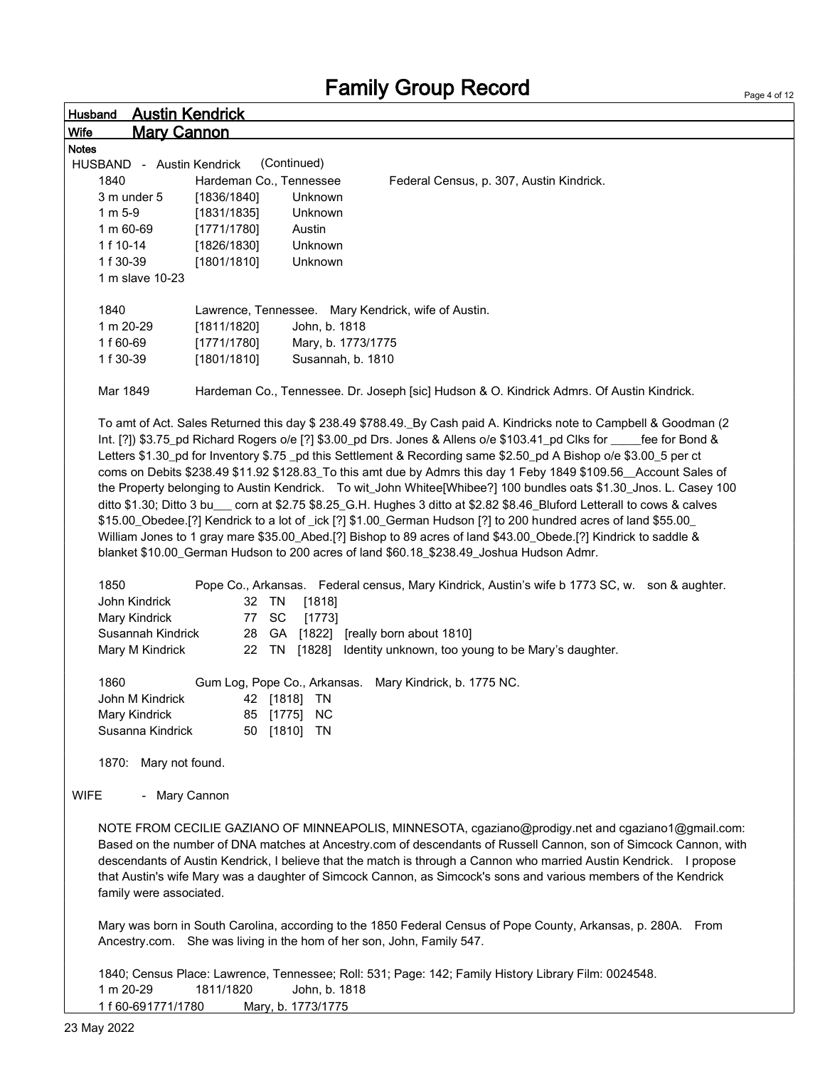| <b>Austin Kendrick</b><br><b>Husband</b>                                                                                   |                                  |                                                                                                                                                                                                                                                                                                                                                                                                                                                                                                                                                                                                                                                                                                                                                                                                                                                                                                                                                                                                                                                                                                                                                                                                                                                                                                                                                                                           |
|----------------------------------------------------------------------------------------------------------------------------|----------------------------------|-------------------------------------------------------------------------------------------------------------------------------------------------------------------------------------------------------------------------------------------------------------------------------------------------------------------------------------------------------------------------------------------------------------------------------------------------------------------------------------------------------------------------------------------------------------------------------------------------------------------------------------------------------------------------------------------------------------------------------------------------------------------------------------------------------------------------------------------------------------------------------------------------------------------------------------------------------------------------------------------------------------------------------------------------------------------------------------------------------------------------------------------------------------------------------------------------------------------------------------------------------------------------------------------------------------------------------------------------------------------------------------------|
| <b>Wife</b><br><b>Mary Cannon</b>                                                                                          |                                  |                                                                                                                                                                                                                                                                                                                                                                                                                                                                                                                                                                                                                                                                                                                                                                                                                                                                                                                                                                                                                                                                                                                                                                                                                                                                                                                                                                                           |
| <b>Notes</b>                                                                                                               |                                  |                                                                                                                                                                                                                                                                                                                                                                                                                                                                                                                                                                                                                                                                                                                                                                                                                                                                                                                                                                                                                                                                                                                                                                                                                                                                                                                                                                                           |
| HUSBAND - Austin Kendrick                                                                                                  |                                  | (Continued)                                                                                                                                                                                                                                                                                                                                                                                                                                                                                                                                                                                                                                                                                                                                                                                                                                                                                                                                                                                                                                                                                                                                                                                                                                                                                                                                                                               |
| 1840                                                                                                                       | Hardeman Co., Tennessee          | Federal Census, p. 307, Austin Kindrick.                                                                                                                                                                                                                                                                                                                                                                                                                                                                                                                                                                                                                                                                                                                                                                                                                                                                                                                                                                                                                                                                                                                                                                                                                                                                                                                                                  |
| 3 m under 5                                                                                                                | [1836/1840]                      | Unknown                                                                                                                                                                                                                                                                                                                                                                                                                                                                                                                                                                                                                                                                                                                                                                                                                                                                                                                                                                                                                                                                                                                                                                                                                                                                                                                                                                                   |
| 1 m 5-9<br>1 m 60-69                                                                                                       | [1831/1835]<br>[1771/1780]       | Unknown<br>Austin                                                                                                                                                                                                                                                                                                                                                                                                                                                                                                                                                                                                                                                                                                                                                                                                                                                                                                                                                                                                                                                                                                                                                                                                                                                                                                                                                                         |
| 1 f 10-14                                                                                                                  | [1826/1830]                      | Unknown                                                                                                                                                                                                                                                                                                                                                                                                                                                                                                                                                                                                                                                                                                                                                                                                                                                                                                                                                                                                                                                                                                                                                                                                                                                                                                                                                                                   |
| 1 f 30-39                                                                                                                  | [1801/1810]                      | Unknown                                                                                                                                                                                                                                                                                                                                                                                                                                                                                                                                                                                                                                                                                                                                                                                                                                                                                                                                                                                                                                                                                                                                                                                                                                                                                                                                                                                   |
| 1 m slave 10-23                                                                                                            |                                  |                                                                                                                                                                                                                                                                                                                                                                                                                                                                                                                                                                                                                                                                                                                                                                                                                                                                                                                                                                                                                                                                                                                                                                                                                                                                                                                                                                                           |
|                                                                                                                            |                                  |                                                                                                                                                                                                                                                                                                                                                                                                                                                                                                                                                                                                                                                                                                                                                                                                                                                                                                                                                                                                                                                                                                                                                                                                                                                                                                                                                                                           |
| 1840                                                                                                                       |                                  | Lawrence, Tennessee. Mary Kendrick, wife of Austin.                                                                                                                                                                                                                                                                                                                                                                                                                                                                                                                                                                                                                                                                                                                                                                                                                                                                                                                                                                                                                                                                                                                                                                                                                                                                                                                                       |
| 1 m 20-29                                                                                                                  | [1811/1820]                      | John, b. 1818                                                                                                                                                                                                                                                                                                                                                                                                                                                                                                                                                                                                                                                                                                                                                                                                                                                                                                                                                                                                                                                                                                                                                                                                                                                                                                                                                                             |
| 1 f 60-69                                                                                                                  | [1771/1780]                      | Mary, b. 1773/1775                                                                                                                                                                                                                                                                                                                                                                                                                                                                                                                                                                                                                                                                                                                                                                                                                                                                                                                                                                                                                                                                                                                                                                                                                                                                                                                                                                        |
| 1 f 30-39                                                                                                                  | [1801/1810]                      | Susannah, b. 1810                                                                                                                                                                                                                                                                                                                                                                                                                                                                                                                                                                                                                                                                                                                                                                                                                                                                                                                                                                                                                                                                                                                                                                                                                                                                                                                                                                         |
| Mar 1849                                                                                                                   |                                  | Hardeman Co., Tennessee. Dr. Joseph [sic] Hudson & O. Kindrick Admrs. Of Austin Kindrick.                                                                                                                                                                                                                                                                                                                                                                                                                                                                                                                                                                                                                                                                                                                                                                                                                                                                                                                                                                                                                                                                                                                                                                                                                                                                                                 |
| 1850<br>John Kindrick<br>Mary Kindrick<br>Susannah Kindrick<br>Mary M Kindrick<br>1860<br>John M Kindrick<br>Mary Kindrick | 32 TN<br>SC<br>77<br>28 GA<br>85 | To amt of Act. Sales Returned this day \$ 238.49 \$788.49. By Cash paid A. Kindricks note to Campbell & Goodman (2<br>Int. [?]) \$3.75_pd Richard Rogers o/e [?] \$3.00_pd Drs. Jones & Allens o/e \$103.41_pd Clks for ____fee for Bond &<br>Letters \$1.30_pd for Inventory \$.75 _pd this Settlement & Recording same \$2.50_pd A Bishop o/e \$3.00_5 per ct<br>coms on Debits \$238.49 \$11.92 \$128.83_To this amt due by Admrs this day 1 Feby 1849 \$109.56_Account Sales of<br>the Property belonging to Austin Kendrick. To wit_John Whitee[Whibee?] 100 bundles oats \$1.30_Jnos. L. Casey 100<br>ditto \$1.30; Ditto 3 bu___ corn at \$2.75 \$8.25_G.H. Hughes 3 ditto at \$2.82 \$8.46_Bluford Letterall to cows & calves<br>\$15.00_Obedee.[?] Kendrick to a lot of _ick [?] \$1.00_German Hudson [?] to 200 hundred acres of land \$55.00_<br>William Jones to 1 gray mare \$35.00_Abed.[?] Bishop to 89 acres of land \$43.00_Obede.[?] Kindrick to saddle &<br>blanket \$10.00_German Hudson to 200 acres of land \$60.18_\$238.49_Joshua Hudson Admr.<br>Pope Co., Arkansas. Federal census, Mary Kindrick, Austin's wife b 1773 SC, w. son & aughter.<br>[1818]<br>[1773]<br>[1822] [really born about 1810]<br>22 TN [1828] Identity unknown, too young to be Mary's daughter.<br>Gum Log, Pope Co., Arkansas. Mary Kindrick, b. 1775 NC.<br>42 [1818] TN<br>[1775] NC |
| Susanna Kindrick                                                                                                           |                                  | 50 [1810] TN                                                                                                                                                                                                                                                                                                                                                                                                                                                                                                                                                                                                                                                                                                                                                                                                                                                                                                                                                                                                                                                                                                                                                                                                                                                                                                                                                                              |
| 1870: Mary not found.                                                                                                      |                                  |                                                                                                                                                                                                                                                                                                                                                                                                                                                                                                                                                                                                                                                                                                                                                                                                                                                                                                                                                                                                                                                                                                                                                                                                                                                                                                                                                                                           |
| - Mary Cannon<br><b>WIFE</b>                                                                                               |                                  |                                                                                                                                                                                                                                                                                                                                                                                                                                                                                                                                                                                                                                                                                                                                                                                                                                                                                                                                                                                                                                                                                                                                                                                                                                                                                                                                                                                           |
| family were associated.                                                                                                    |                                  | NOTE FROM CECILIE GAZIANO OF MINNEAPOLIS, MINNESOTA, cgaziano@prodigy.net and cgaziano1@gmail.com:<br>Based on the number of DNA matches at Ancestry.com of descendants of Russell Cannon, son of Simcock Cannon, with<br>descendants of Austin Kendrick, I believe that the match is through a Cannon who married Austin Kendrick. I propose<br>that Austin's wife Mary was a daughter of Simcock Cannon, as Simcock's sons and various members of the Kendrick                                                                                                                                                                                                                                                                                                                                                                                                                                                                                                                                                                                                                                                                                                                                                                                                                                                                                                                          |
|                                                                                                                            |                                  | Mary was born in South Carolina, according to the 1850 Federal Census of Pope County, Arkansas, p. 280A. From<br>Ancestry.com. She was living in the hom of her son, John, Family 547.                                                                                                                                                                                                                                                                                                                                                                                                                                                                                                                                                                                                                                                                                                                                                                                                                                                                                                                                                                                                                                                                                                                                                                                                    |
| 1 m 20-29<br>1 f 60-691771/1780                                                                                            | 1811/1820                        | 1840; Census Place: Lawrence, Tennessee; Roll: 531; Page: 142; Family History Library Film: 0024548.<br>John, b. 1818<br>Mary, b. 1773/1775                                                                                                                                                                                                                                                                                                                                                                                                                                                                                                                                                                                                                                                                                                                                                                                                                                                                                                                                                                                                                                                                                                                                                                                                                                               |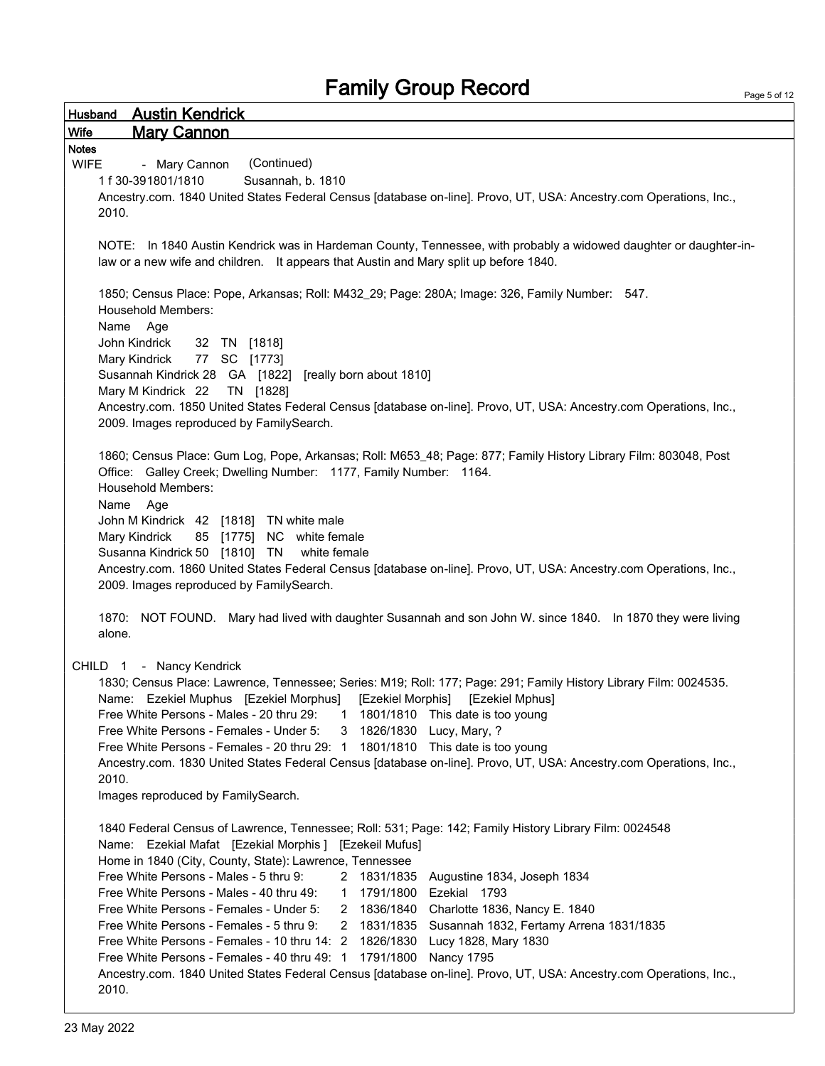| <b>Husband</b> Austin Kendrick                                                                                                                                                                                                                                                                           |  |
|----------------------------------------------------------------------------------------------------------------------------------------------------------------------------------------------------------------------------------------------------------------------------------------------------------|--|
| Wife<br><b>Mary Cannon</b>                                                                                                                                                                                                                                                                               |  |
| <b>Notes</b><br><b>WIFE</b><br>- Mary Cannon (Continued)<br>1 f 30-391801/1810<br>Susannah, b. 1810<br>Ancestry.com. 1840 United States Federal Census [database on-line]. Provo, UT, USA: Ancestry.com Operations, Inc.,<br>2010.                                                                       |  |
| NOTE: In 1840 Austin Kendrick was in Hardeman County, Tennessee, with probably a widowed daughter or daughter-in-<br>law or a new wife and children. It appears that Austin and Mary split up before 1840.                                                                                               |  |
| 1850; Census Place: Pope, Arkansas; Roll: M432 29; Page: 280A; Image: 326, Family Number: 547.<br><b>Household Members:</b><br>Name Age                                                                                                                                                                  |  |
| John Kindrick<br>32 TN [1818]<br>Mary Kindrick<br>77 SC [1773]                                                                                                                                                                                                                                           |  |
| Susannah Kindrick 28 GA [1822] [really born about 1810]<br>Mary M Kindrick 22 TN [1828]                                                                                                                                                                                                                  |  |
| Ancestry.com. 1850 United States Federal Census [database on-line]. Provo, UT, USA: Ancestry.com Operations, Inc.,<br>2009. Images reproduced by FamilySearch.                                                                                                                                           |  |
| 1860; Census Place: Gum Log, Pope, Arkansas; Roll: M653_48; Page: 877; Family History Library Film: 803048, Post<br>Office: Galley Creek; Dwelling Number: 1177, Family Number: 1164.<br><b>Household Members:</b>                                                                                       |  |
| Name Age<br>John M Kindrick 42 [1818] TN white male<br>85 [1775] NC white female<br>Mary Kindrick                                                                                                                                                                                                        |  |
| Susanna Kindrick 50 [1810] TN<br>white female<br>Ancestry.com. 1860 United States Federal Census [database on-line]. Provo, UT, USA: Ancestry.com Operations, Inc.,<br>2009. Images reproduced by FamilySearch.                                                                                          |  |
| 1870: NOT FOUND. Mary had lived with daughter Susannah and son John W. since 1840. In 1870 they were living<br>alone.                                                                                                                                                                                    |  |
| CHILD 1 - Nancy Kendrick<br>1830; Census Place: Lawrence, Tennessee; Series: M19; Roll: 177; Page: 291; Family History Library Film: 0024535.<br>Name: Ezekiel Muphus [Ezekiel Morphus] [Ezekiel Morphis] [Ezekiel Mphus]<br>Free White Persons - Males - 20 thru 29: 1 1801/1810 This date is too young |  |
| Free White Persons - Females - Under 5: 3 1826/1830 Lucy, Mary, ?<br>Free White Persons - Females - 20 thru 29: 1 1801/1810 This date is too young<br>Ancestry.com. 1830 United States Federal Census [database on-line]. Provo, UT, USA: Ancestry.com Operations, Inc.,<br>2010.                        |  |
| Images reproduced by FamilySearch.                                                                                                                                                                                                                                                                       |  |
| 1840 Federal Census of Lawrence, Tennessee; Roll: 531; Page: 142; Family History Library Film: 0024548<br>Name: Ezekial Mafat [Ezekial Morphis] [Ezekeil Mufus]<br>Home in 1840 (City, County, State): Lawrence, Tennessee                                                                               |  |
| Free White Persons - Males - 5 thru 9:<br>2 1831/1835 Augustine 1834, Joseph 1834<br>Free White Persons - Males - 40 thru 49:<br>1 1791/1800 Ezekial 1793<br>Free White Persons - Females - Under 5:<br>2 1836/1840 Charlotte 1836, Nancy E. 1840                                                        |  |
| 2 1831/1835 Susannah 1832, Fertamy Arrena 1831/1835<br>Free White Persons - Females - 5 thru 9:                                                                                                                                                                                                          |  |
| Free White Persons - Females - 10 thru 14: 2 1826/1830 Lucy 1828, Mary 1830<br>Free White Persons - Females - 40 thru 49: 1 1791/1800 Nancy 1795                                                                                                                                                         |  |
| Ancestry.com. 1840 United States Federal Census [database on-line]. Provo, UT, USA: Ancestry.com Operations, Inc.,<br>2010.                                                                                                                                                                              |  |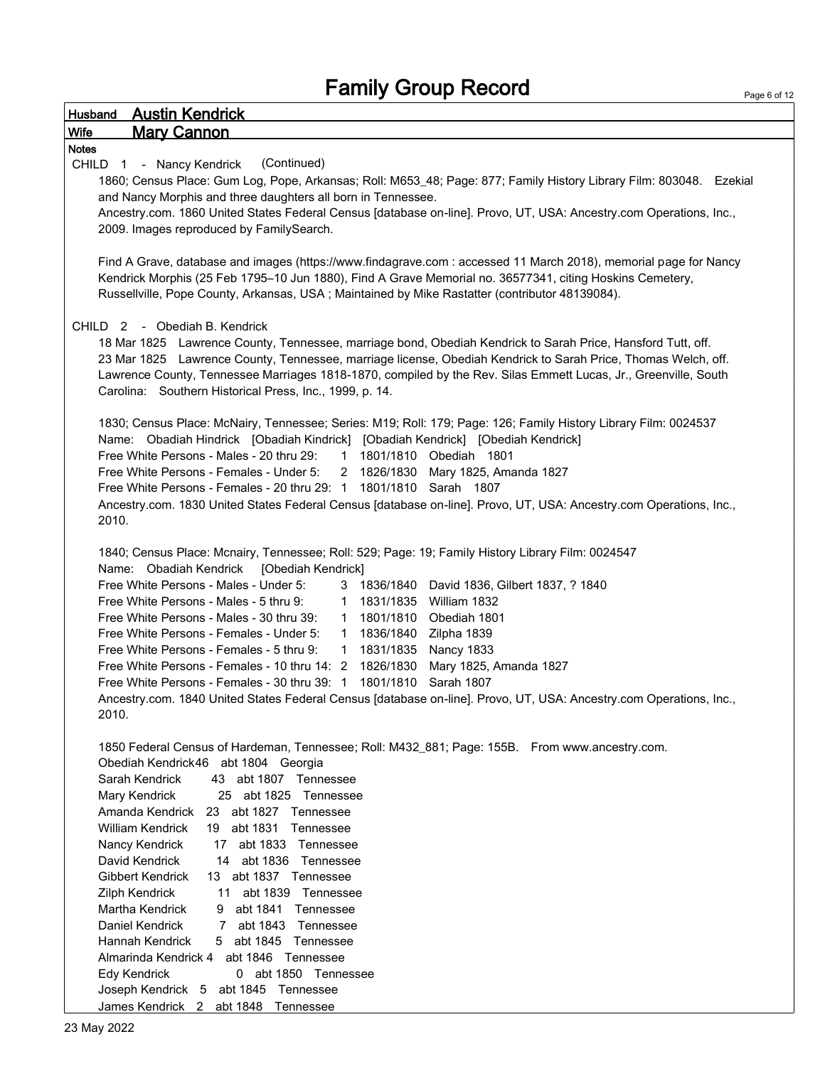| <b>Austin Kendrick</b><br>Husband                                                                                                                                                                                                                                                                                                                                                                                                                                                                                                                                                                                                                                                                                                                                                                                         |
|---------------------------------------------------------------------------------------------------------------------------------------------------------------------------------------------------------------------------------------------------------------------------------------------------------------------------------------------------------------------------------------------------------------------------------------------------------------------------------------------------------------------------------------------------------------------------------------------------------------------------------------------------------------------------------------------------------------------------------------------------------------------------------------------------------------------------|
| <b>Mary Cannon</b><br>Wife                                                                                                                                                                                                                                                                                                                                                                                                                                                                                                                                                                                                                                                                                                                                                                                                |
| <b>Notes</b>                                                                                                                                                                                                                                                                                                                                                                                                                                                                                                                                                                                                                                                                                                                                                                                                              |
| (Continued)<br>CHILD 1 - Nancy Kendrick<br>1860; Census Place: Gum Log, Pope, Arkansas; Roll: M653_48; Page: 877; Family History Library Film: 803048. Ezekial<br>and Nancy Morphis and three daughters all born in Tennessee.<br>Ancestry.com. 1860 United States Federal Census [database on-line]. Provo, UT, USA: Ancestry.com Operations, Inc.,<br>2009. Images reproduced by FamilySearch.                                                                                                                                                                                                                                                                                                                                                                                                                          |
| Find A Grave, database and images (https://www.findagrave.com : accessed 11 March 2018), memorial page for Nancy<br>Kendrick Morphis (25 Feb 1795-10 Jun 1880), Find A Grave Memorial no. 36577341, citing Hoskins Cemetery,<br>Russellville, Pope County, Arkansas, USA; Maintained by Mike Rastatter (contributor 48139084).                                                                                                                                                                                                                                                                                                                                                                                                                                                                                            |
| CHILD 2 - Obediah B. Kendrick<br>18 Mar 1825 Lawrence County, Tennessee, marriage bond, Obediah Kendrick to Sarah Price, Hansford Tutt, off.<br>23 Mar 1825 Lawrence County, Tennessee, marriage license, Obediah Kendrick to Sarah Price, Thomas Welch, off.<br>Lawrence County, Tennessee Marriages 1818-1870, compiled by the Rev. Silas Emmett Lucas, Jr., Greenville, South<br>Carolina: Southern Historical Press, Inc., 1999, p. 14.                                                                                                                                                                                                                                                                                                                                                                               |
| 1830; Census Place: McNairy, Tennessee; Series: M19; Roll: 179; Page: 126; Family History Library Film: 0024537<br>Name: Obadiah Hindrick [Obadiah Kindrick] [Obadiah Kendrick] [Obediah Kendrick]<br>Free White Persons - Males - 20 thru 29: 1 1801/1810 Obediah 1801<br>Free White Persons - Females - Under 5: 2 1826/1830 Mary 1825, Amanda 1827<br>Free White Persons - Females - 20 thru 29: 1 1801/1810 Sarah 1807<br>Ancestry.com. 1830 United States Federal Census [database on-line]. Provo, UT, USA: Ancestry.com Operations, Inc.,<br>2010.                                                                                                                                                                                                                                                                 |
| 1840; Census Place: Mcnairy, Tennessee; Roll: 529; Page: 19; Family History Library Film: 0024547<br>Name: Obadiah Kendrick<br>[Obediah Kendrick]<br>Free White Persons - Males - Under 5:<br>3 1836/1840 David 1836, Gilbert 1837, ? 1840<br>Free White Persons - Males - 5 thru 9:<br>1 1831/1835 William 1832<br>Free White Persons - Males - 30 thru 39:<br>1 1801/1810 Obediah 1801<br>Free White Persons - Females - Under 5:<br>1 1836/1840 Zilpha 1839<br>Free White Persons - Females - 5 thru 9:<br>1 1831/1835 Nancy 1833<br>Free White Persons - Females - 10 thru 14: 2 1826/1830 Mary 1825, Amanda 1827<br>Free White Persons - Females - 30 thru 39: 1 1801/1810 Sarah 1807<br>Ancestry.com. 1840 United States Federal Census [database on-line]. Provo, UT, USA: Ancestry.com Operations, Inc.,<br>2010. |
| 1850 Federal Census of Hardeman, Tennessee; Roll: M432_881; Page: 155B. From www.ancestry.com.<br>Obediah Kendrick46 abt 1804 Georgia<br>Sarah Kendrick<br>43 abt 1807 Tennessee<br>Mary Kendrick<br>25 abt 1825 Tennessee<br>Amanda Kendrick 23 abt 1827 Tennessee<br><b>William Kendrick</b><br>19 abt 1831 Tennessee<br>Nancy Kendrick<br>abt 1833 Tennessee<br>17<br>David Kendrick<br>14 abt 1836 Tennessee<br>Gibbert Kendrick<br>13 abt 1837 Tennessee<br>Zilph Kendrick<br>abt 1839 Tennessee<br>11<br>Martha Kendrick<br>9 abt 1841 Tennessee<br>Daniel Kendrick<br>7 abt 1843 Tennessee<br>Hannah Kendrick<br>5 abt 1845 Tennessee<br>Almarinda Kendrick 4<br>abt 1846 Tennessee<br>0 abt 1850 Tennessee<br>Edy Kendrick<br>Joseph Kendrick 5 abt 1845 Tennessee<br>James Kendrick 2 abt 1848 Tennessee         |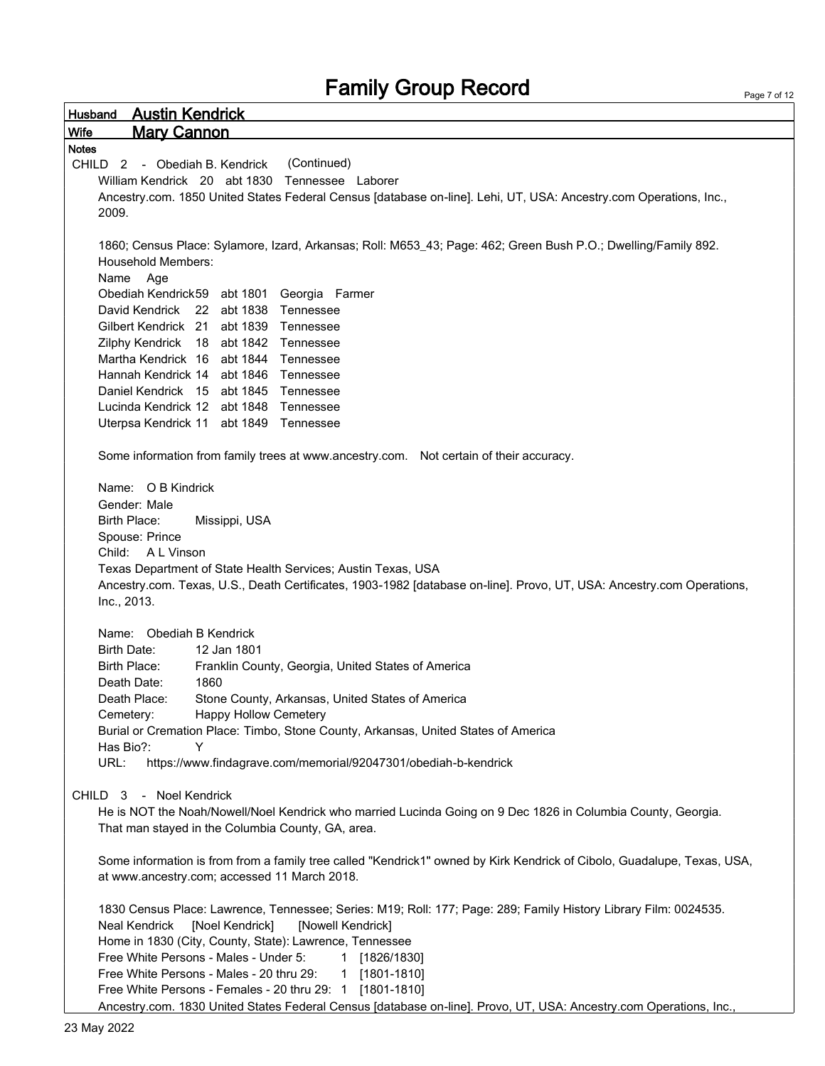Husband Austin Kendrick Wife Mary Cannon Notes CHILD 2 - Obediah B. Kendrick (Continued) William Kendrick 20 abt 1830 Tennessee Laborer Ancestry.com. 1850 United States Federal Census [database on-line]. Lehi, UT, USA: Ancestry.com Operations, Inc., 2009. 1860; Census Place: Sylamore, Izard, Arkansas; Roll: M653\_43; Page: 462; Green Bush P.O.; Dwelling/Family 892. Household Members: Name Age Obediah Kendrick59 abt 1801 Georgia Farmer David Kendrick 22 abt 1838 Tennessee Gilbert Kendrick 21 abt 1839 Tennessee Zilphy Kendrick 18 abt 1842 Tennessee Martha Kendrick 16 abt 1844 Tennessee Hannah Kendrick 14 abt 1846 Tennessee Daniel Kendrick 15 abt 1845 Tennessee Lucinda Kendrick 12 abt 1848 Tennessee Uterpsa Kendrick 11 abt 1849 Tennessee Some information from family trees at www.ancestry.com. Not certain of their accuracy. Name: O B Kindrick Gender: Male Birth Place: Missippi, USA Spouse: Prince Child: A L Vinson Texas Department of State Health Services; Austin Texas, USA Ancestry.com. Texas, U.S., Death Certificates, 1903-1982 [database on-line]. Provo, UT, USA: Ancestry.com Operations, Inc., 2013. Name: Obediah B Kendrick Birth Date: 12 Jan 1801 Birth Place: Franklin County, Georgia, United States of America Death Date: 1860 Death Place: Stone County, Arkansas, United States of America Cemetery: Happy Hollow Cemetery Burial or Cremation Place: Timbo, Stone County, Arkansas, United States of America Has Bio?: Y URL: https://www.findagrave.com/memorial/92047301/obediah-b-kendrick CHILD 3 - Noel Kendrick He is NOT the Noah/Nowell/Noel Kendrick who married Lucinda Going on 9 Dec 1826 in Columbia County, Georgia. That man stayed in the Columbia County, GA, area. Some information is from from a family tree called "Kendrick1" owned by Kirk Kendrick of Cibolo, Guadalupe, Texas, USA, at www.ancestry.com; accessed 11 March 2018. 1830 Census Place: Lawrence, Tennessee; Series: M19; Roll: 177; Page: 289; Family History Library Film: 0024535. Neal Kendrick [Noel Kendrick] [Nowell Kendrick] Home in 1830 (City, County, State): Lawrence, Tennessee Free White Persons - Males - Under 5: 1 [1826/1830] Free White Persons - Males - 20 thru 29: 1 [1801-1810] Free White Persons - Females - 20 thru 29: 1 [1801-1810] Ancestry.com. 1830 United States Federal Census [database on-line]. Provo, UT, USA: Ancestry.com Operations, Inc.,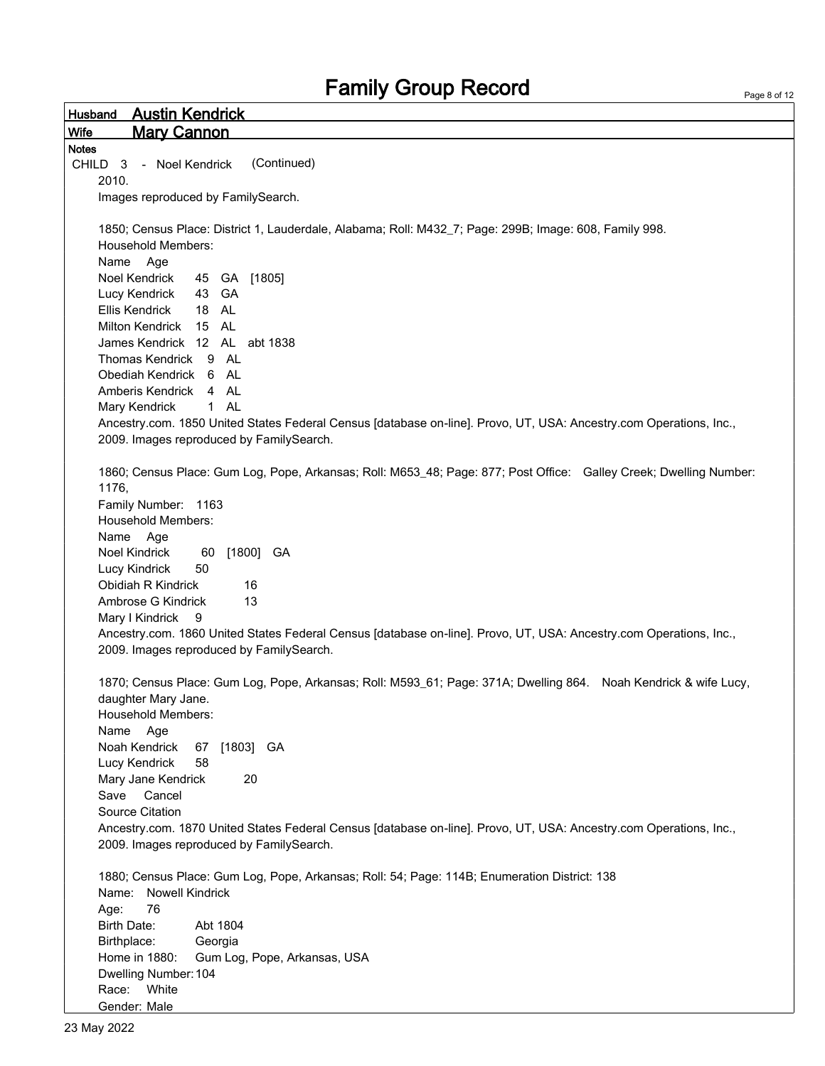| <b>Austin Kendrick</b><br><b>Husband</b>                                                                                              |
|---------------------------------------------------------------------------------------------------------------------------------------|
| <b>Wife</b><br><u> Mary Cannon</u>                                                                                                    |
| <b>Notes</b>                                                                                                                          |
| (Continued)<br>CHILD <sub>3</sub><br>- Noel Kendrick                                                                                  |
| 2010.                                                                                                                                 |
| Images reproduced by FamilySearch.                                                                                                    |
|                                                                                                                                       |
| 1850; Census Place: District 1, Lauderdale, Alabama; Roll: M432_7; Page: 299B; Image: 608, Family 998.                                |
| <b>Household Members:</b>                                                                                                             |
| Name Age                                                                                                                              |
| Noel Kendrick<br>45 GA [1805]                                                                                                         |
| Lucy Kendrick<br>43 GA                                                                                                                |
| Ellis Kendrick<br>18 AL                                                                                                               |
| Milton Kendrick 15 AL                                                                                                                 |
| James Kendrick 12 AL abt 1838                                                                                                         |
| Thomas Kendrick 9 AL                                                                                                                  |
| Obediah Kendrick 6 AL                                                                                                                 |
| Amberis Kendrick 4 AL                                                                                                                 |
| Mary Kendrick<br>1 AL                                                                                                                 |
| Ancestry.com. 1850 United States Federal Census [database on-line]. Provo, UT, USA: Ancestry.com Operations, Inc.,                    |
| 2009. Images reproduced by FamilySearch.                                                                                              |
|                                                                                                                                       |
| 1860; Census Place: Gum Log, Pope, Arkansas; Roll: M653_48; Page: 877; Post Office: Galley Creek; Dwelling Number:                    |
| 1176,                                                                                                                                 |
| Family Number: 1163                                                                                                                   |
| <b>Household Members:</b>                                                                                                             |
| Name Age                                                                                                                              |
| <b>Noel Kindrick</b><br>60 [1800] GA                                                                                                  |
| Lucy Kindrick<br>50                                                                                                                   |
| Obidiah R Kindrick<br>16<br>Ambrose G Kindrick<br>13                                                                                  |
| 9                                                                                                                                     |
| Mary I Kindrick<br>Ancestry.com. 1860 United States Federal Census [database on-line]. Provo, UT, USA: Ancestry.com Operations, Inc., |
| 2009. Images reproduced by FamilySearch.                                                                                              |
|                                                                                                                                       |
| 1870; Census Place: Gum Log, Pope, Arkansas; Roll: M593_61; Page: 371A; Dwelling 864. Noah Kendrick & wife Lucy,                      |
| daughter Mary Jane.                                                                                                                   |
| <b>Household Members:</b>                                                                                                             |
| Age<br>Name                                                                                                                           |
| Noah Kendrick<br>67 [1803] GA                                                                                                         |
| Lucy Kendrick<br>58                                                                                                                   |
| Mary Jane Kendrick<br>20                                                                                                              |
| Save<br>Cancel                                                                                                                        |
| Source Citation                                                                                                                       |
| Ancestry.com. 1870 United States Federal Census [database on-line]. Provo, UT, USA: Ancestry.com Operations, Inc.,                    |
| 2009. Images reproduced by FamilySearch.                                                                                              |
|                                                                                                                                       |
| 1880; Census Place: Gum Log, Pope, Arkansas; Roll: 54; Page: 114B; Enumeration District: 138                                          |
| Name: Nowell Kindrick                                                                                                                 |
| Age:<br>76                                                                                                                            |
| Birth Date:<br>Abt 1804                                                                                                               |
| Birthplace:<br>Georgia                                                                                                                |
| Home in 1880:<br>Gum Log, Pope, Arkansas, USA                                                                                         |
| Dwelling Number: 104                                                                                                                  |
| Race: White                                                                                                                           |
| Gender: Male                                                                                                                          |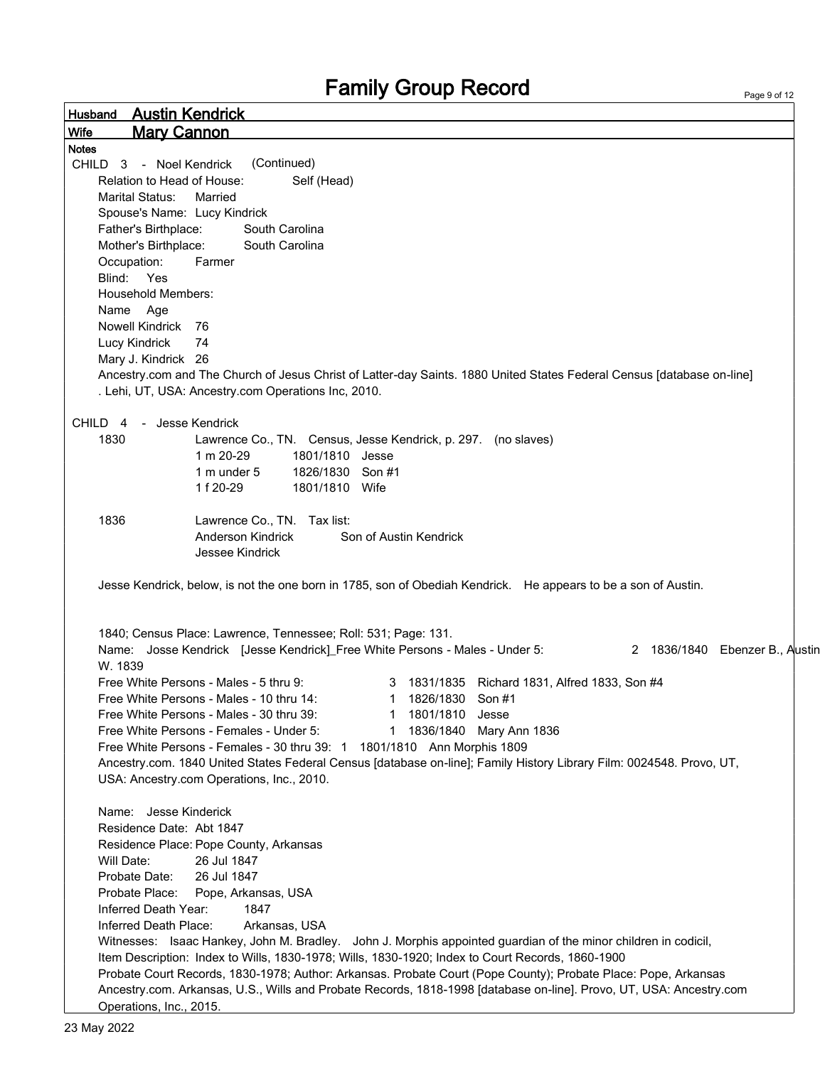|                            | <b>Family Group Record</b>                                                                                                      | Page 9 of 12                   |
|----------------------------|---------------------------------------------------------------------------------------------------------------------------------|--------------------------------|
| Husband                    | <b>Austin Kendrick</b>                                                                                                          |                                |
| <b>Wife</b>                | <b>Mary Cannon</b>                                                                                                              |                                |
| <b>Notes</b>               |                                                                                                                                 |                                |
| CHILD 3 - Noel Kendrick    | (Continued)                                                                                                                     |                                |
| Relation to Head of House: | Self (Head)                                                                                                                     |                                |
| <b>Marital Status:</b>     | Married                                                                                                                         |                                |
|                            | Spouse's Name: Lucy Kindrick                                                                                                    |                                |
| Father's Birthplace:       | South Carolina                                                                                                                  |                                |
| Mother's Birthplace:       | South Carolina                                                                                                                  |                                |
| Occupation:                | Farmer                                                                                                                          |                                |
| Blind: Yes                 |                                                                                                                                 |                                |
| <b>Household Members:</b>  |                                                                                                                                 |                                |
| Name Age                   |                                                                                                                                 |                                |
| <b>Nowell Kindrick</b>     | - 76                                                                                                                            |                                |
| Lucy Kindrick              | 74                                                                                                                              |                                |
| Mary J. Kindrick 26        |                                                                                                                                 |                                |
|                            | Ancestry.com and The Church of Jesus Christ of Latter-day Saints. 1880 United States Federal Census [database on-line]          |                                |
|                            | . Lehi, UT, USA: Ancestry.com Operations Inc, 2010.                                                                             |                                |
|                            |                                                                                                                                 |                                |
| CHILD <sub>4</sub>         | - Jesse Kendrick                                                                                                                |                                |
| 1830                       | Lawrence Co., TN. Census, Jesse Kendrick, p. 297. (no slaves)                                                                   |                                |
|                            | 1 m 20-29<br>1801/1810 Jesse                                                                                                    |                                |
|                            | 1826/1830 Son #1<br>1 m under 5                                                                                                 |                                |
|                            | 1 f 20-29<br>1801/1810 Wife                                                                                                     |                                |
|                            |                                                                                                                                 |                                |
| 1836                       | Lawrence Co., TN. Tax list:                                                                                                     |                                |
|                            | <b>Anderson Kindrick</b><br>Son of Austin Kendrick                                                                              |                                |
|                            | Jessee Kindrick                                                                                                                 |                                |
|                            |                                                                                                                                 |                                |
|                            | Jesse Kendrick, below, is not the one born in 1785, son of Obediah Kendrick. He appears to be a son of Austin.                  |                                |
|                            |                                                                                                                                 |                                |
|                            |                                                                                                                                 |                                |
|                            | 1840; Census Place: Lawrence, Tennessee; Roll: 531; Page: 131.                                                                  |                                |
| W. 1839                    | Name: Josse Kendrick [Jesse Kendrick]_Free White Persons - Males - Under 5:                                                     | 2 1836/1840 Ebenzer B., Austin |
|                            |                                                                                                                                 |                                |
|                            | 3 1831/1835 Richard 1831, Alfred 1833, Son #4<br>Free White Persons - Males - 5 thru 9:                                         |                                |
|                            | Free White Persons - Males - 10 thru 14:<br>1 1826/1830 Son #1<br>Free White Persons - Males - 30 thru 39:<br>1 1801/1810 Jesse |                                |
|                            | Free White Persons - Females - Under 5:                                                                                         |                                |
|                            | 1 1836/1840 Mary Ann 1836<br>Free White Persons - Females - 30 thru 39: 1 1801/1810 Ann Morphis 1809                            |                                |
|                            | Ancestry.com. 1840 United States Federal Census [database on-line]; Family History Library Film: 0024548. Provo, UT,            |                                |
|                            | USA: Ancestry.com Operations, Inc., 2010.                                                                                       |                                |
|                            |                                                                                                                                 |                                |
| Name: Jesse Kinderick      |                                                                                                                                 |                                |
| Residence Date: Abt 1847   |                                                                                                                                 |                                |
|                            | Residence Place: Pope County, Arkansas                                                                                          |                                |
| Will Date:                 | 26 Jul 1847                                                                                                                     |                                |
| Probate Date:              | 26 Jul 1847                                                                                                                     |                                |
|                            | Probate Place: Pope, Arkansas, USA                                                                                              |                                |
| Inferred Death Year:       | 1847                                                                                                                            |                                |
|                            |                                                                                                                                 |                                |
| Inferred Death Place:      | Arkansas, USA                                                                                                                   |                                |
|                            | Witnesses: Isaac Hankey, John M. Bradley. John J. Morphis appointed guardian of the minor children in codicil,                  |                                |
|                            | Item Description: Index to Wills, 1830-1978; Wills, 1830-1920; Index to Court Records, 1860-1900                                |                                |
|                            | Probate Court Records, 1830-1978; Author: Arkansas. Probate Court (Pope County); Probate Place: Pope, Arkansas                  |                                |
|                            | Ancestry.com. Arkansas, U.S., Wills and Probate Records, 1818-1998 [database on-line]. Provo, UT, USA: Ancestry.com             |                                |
| Operations, Inc., 2015.    |                                                                                                                                 |                                |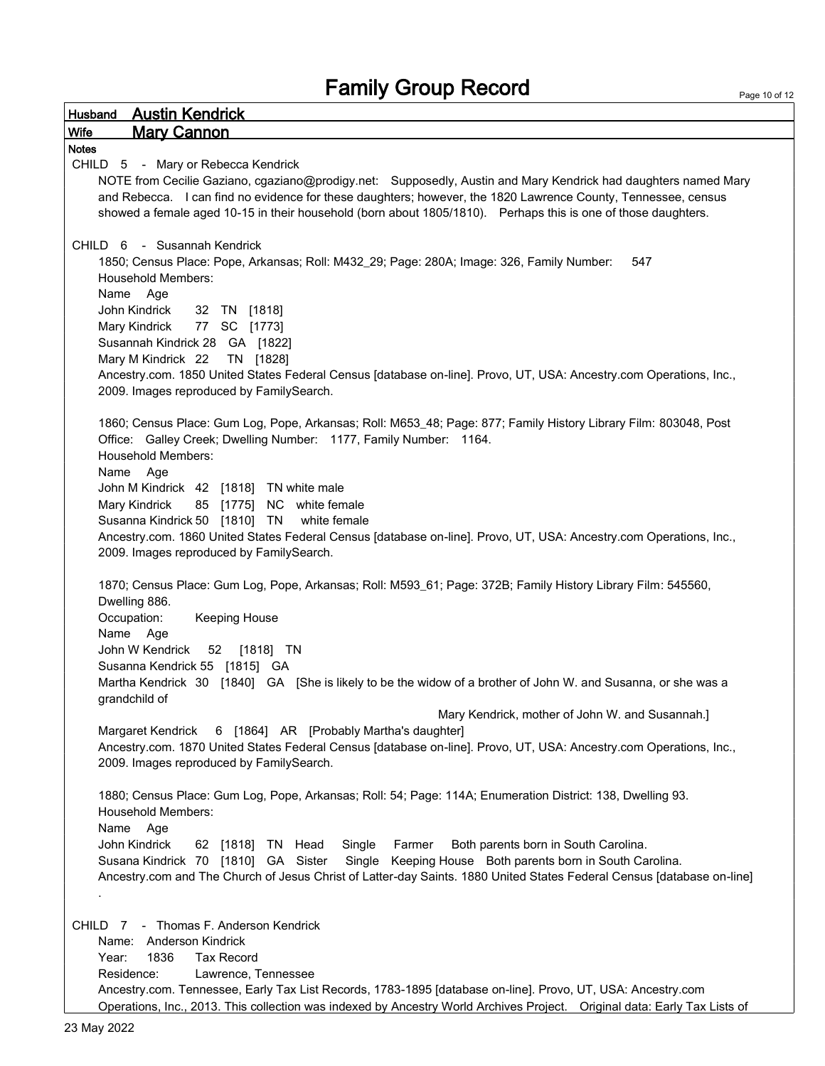| <b>Husband Austin Kendrick</b>                                                                                                 |
|--------------------------------------------------------------------------------------------------------------------------------|
| <b>Wife</b><br><b>Mary Cannon</b>                                                                                              |
| <b>Notes</b>                                                                                                                   |
| CHILD 5 - Mary or Rebecca Kendrick                                                                                             |
| NOTE from Cecilie Gaziano, cgaziano@prodigy.net: Supposedly, Austin and Mary Kendrick had daughters named Mary                 |
| and Rebecca. I can find no evidence for these daughters; however, the 1820 Lawrence County, Tennessee, census                  |
| showed a female aged 10-15 in their household (born about 1805/1810). Perhaps this is one of those daughters.                  |
| CHILD 6 - Susannah Kendrick                                                                                                    |
| 1850; Census Place: Pope, Arkansas; Roll: M432_29; Page: 280A; Image: 326, Family Number:<br>547                               |
| <b>Household Members:</b>                                                                                                      |
| Name Age                                                                                                                       |
| John Kindrick<br>32 TN [1818]                                                                                                  |
| Mary Kindrick<br>77 SC [1773]                                                                                                  |
| Susannah Kindrick 28 GA [1822]                                                                                                 |
| Mary M Kindrick 22<br>TN [1828]                                                                                                |
| Ancestry.com. 1850 United States Federal Census [database on-line]. Provo, UT, USA: Ancestry.com Operations, Inc.,             |
| 2009. Images reproduced by FamilySearch.                                                                                       |
|                                                                                                                                |
| 1860; Census Place: Gum Log, Pope, Arkansas; Roll: M653_48; Page: 877; Family History Library Film: 803048, Post               |
| Office: Galley Creek; Dwelling Number: 1177, Family Number: 1164.                                                              |
| <b>Household Members:</b><br>Name Age                                                                                          |
| John M Kindrick 42 [1818] TN white male                                                                                        |
| 85 [1775] NC white female<br>Mary Kindrick                                                                                     |
| Susanna Kindrick 50 [1810] TN<br>white female                                                                                  |
| Ancestry.com. 1860 United States Federal Census [database on-line]. Provo, UT, USA: Ancestry.com Operations, Inc.,             |
| 2009. Images reproduced by FamilySearch.                                                                                       |
|                                                                                                                                |
| 1870; Census Place: Gum Log, Pope, Arkansas; Roll: M593_61; Page: 372B; Family History Library Film: 545560,                   |
| Dwelling 886.                                                                                                                  |
| <b>Keeping House</b><br>Occupation:                                                                                            |
| Name Age                                                                                                                       |
| John W Kendrick<br>52<br>[1818] TN                                                                                             |
| Susanna Kendrick 55 [1815] GA                                                                                                  |
| Martha Kendrick 30 [1840] GA [She is likely to be the widow of a brother of John W. and Susanna, or she was a<br>grandchild of |
| Mary Kendrick, mother of John W. and Susannah.]                                                                                |
| 6 [1864] AR [Probably Martha's daughter]<br>Margaret Kendrick                                                                  |
| Ancestry.com. 1870 United States Federal Census [database on-line]. Provo, UT, USA: Ancestry.com Operations, Inc.,             |
| 2009. Images reproduced by FamilySearch.                                                                                       |
|                                                                                                                                |
| 1880; Census Place: Gum Log, Pope, Arkansas; Roll: 54; Page: 114A; Enumeration District: 138, Dwelling 93.                     |
| Household Members:                                                                                                             |
| Name Age                                                                                                                       |
| John Kindrick<br>62 [1818] TN Head<br>Single<br>Farmer<br>Both parents born in South Carolina.                                 |
| Susana Kindrick 70 [1810] GA Sister<br>Single Keeping House Both parents born in South Carolina.                               |
| Ancestry.com and The Church of Jesus Christ of Latter-day Saints. 1880 United States Federal Census [database on-line]         |
|                                                                                                                                |
| CHILD 7 - Thomas F. Anderson Kendrick                                                                                          |
| <b>Anderson Kindrick</b><br>Name:                                                                                              |
| <b>Tax Record</b><br>Year:<br>1836                                                                                             |
| Residence:<br>Lawrence, Tennessee                                                                                              |
| Ancestry.com. Tennessee, Early Tax List Records, 1783-1895 [database on-line]. Provo, UT, USA: Ancestry.com                    |
| Operations, Inc., 2013. This collection was indexed by Ancestry World Archives Project. Original data: Early Tax Lists of      |

 $\mathsf{r}$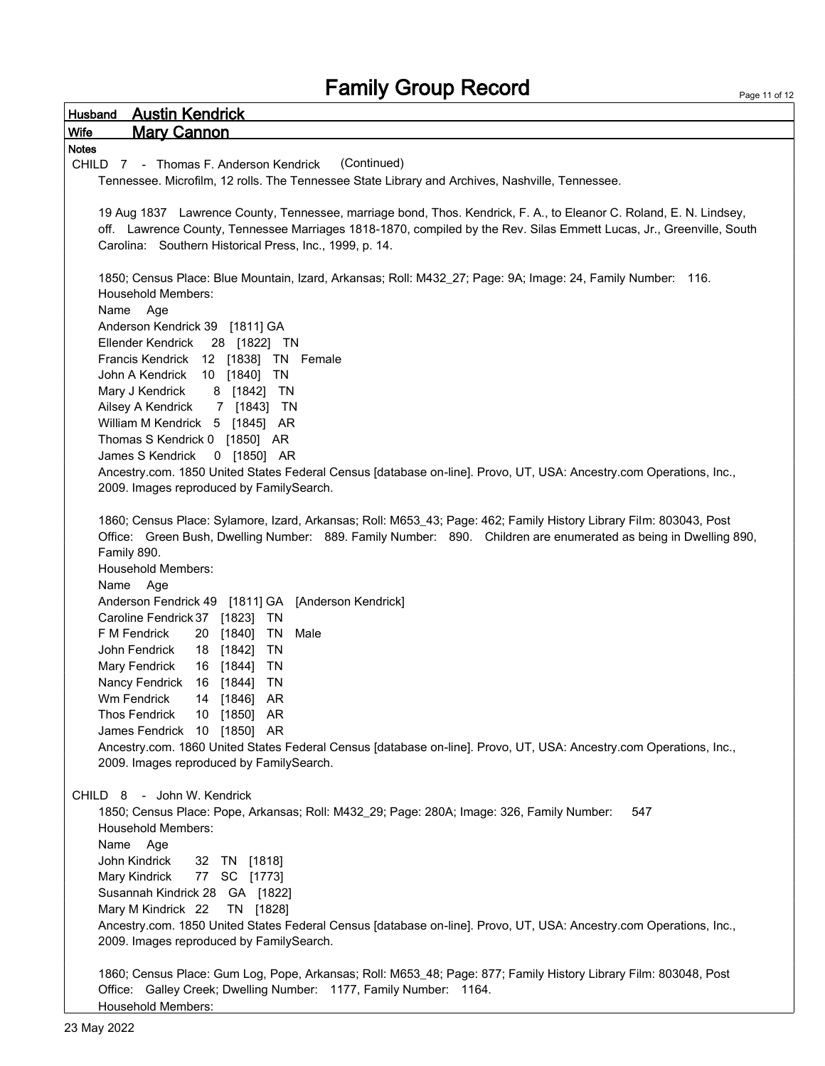| <b>Austin Kendrick</b><br><b>Husband</b>                                                                                                                                                                                                                                                              |
|-------------------------------------------------------------------------------------------------------------------------------------------------------------------------------------------------------------------------------------------------------------------------------------------------------|
| <b>Wife</b><br><b>Mary Cannon</b>                                                                                                                                                                                                                                                                     |
| <b>Notes</b>                                                                                                                                                                                                                                                                                          |
| (Continued)<br>CHILD 7 - Thomas F. Anderson Kendrick                                                                                                                                                                                                                                                  |
| Tennessee. Microfilm, 12 rolls. The Tennessee State Library and Archives, Nashville, Tennessee.                                                                                                                                                                                                       |
| 19 Aug 1837 Lawrence County, Tennessee, marriage bond, Thos. Kendrick, F. A., to Eleanor C. Roland, E. N. Lindsey,<br>off. Lawrence County, Tennessee Marriages 1818-1870, compiled by the Rev. Silas Emmett Lucas, Jr., Greenville, South<br>Carolina: Southern Historical Press, Inc., 1999, p. 14. |
| 1850; Census Place: Blue Mountain, Izard, Arkansas; Roll: M432_27; Page: 9A; Image: 24, Family Number: 116.<br>Household Members:<br>Name Age                                                                                                                                                         |
| Anderson Kendrick 39 [1811] GA                                                                                                                                                                                                                                                                        |
| Ellender Kendrick<br>28 [1822] TN                                                                                                                                                                                                                                                                     |
|                                                                                                                                                                                                                                                                                                       |
| Francis Kendrick 12 [1838] TN Female                                                                                                                                                                                                                                                                  |
| John A Kendrick<br>10 [1840] TN                                                                                                                                                                                                                                                                       |
| Mary J Kendrick<br>8 [1842]<br>- TN                                                                                                                                                                                                                                                                   |
| Ailsey A Kendrick 7 [1843] TN                                                                                                                                                                                                                                                                         |
| William M Kendrick 5 [1845] AR                                                                                                                                                                                                                                                                        |
| Thomas S Kendrick 0 [1850] AR                                                                                                                                                                                                                                                                         |
| James S Kendrick<br>0 [1850] AR                                                                                                                                                                                                                                                                       |
| Ancestry.com. 1850 United States Federal Census [database on-line]. Provo, UT, USA: Ancestry.com Operations, Inc.,<br>2009. Images reproduced by FamilySearch.                                                                                                                                        |
| 1860; Census Place: Sylamore, Izard, Arkansas; Roll: M653_43; Page: 462; Family History Library Film: 803043, Post<br>Office: Green Bush, Dwelling Number: 889. Family Number: 890. Children are enumerated as being in Dwelling 890,<br>Family 890.<br><b>Household Members:</b>                     |
| Name Age                                                                                                                                                                                                                                                                                              |
|                                                                                                                                                                                                                                                                                                       |
| Anderson Fendrick 49 [1811] GA [Anderson Kendrick]                                                                                                                                                                                                                                                    |
| Caroline Fendrick 37 [1823]<br>TN                                                                                                                                                                                                                                                                     |
| F M Fendrick<br>Male<br>[1840]<br>TN<br>20                                                                                                                                                                                                                                                            |
| John Fendrick<br>[1842]<br>TN<br>18                                                                                                                                                                                                                                                                   |
| Mary Fendrick<br>16<br>[1844]<br>TN                                                                                                                                                                                                                                                                   |
| Nancy Fendrick<br>16<br>[1844]<br>TN                                                                                                                                                                                                                                                                  |
| Wm Fendrick<br>14 [1846] AR                                                                                                                                                                                                                                                                           |
| Thos Fendrick<br>10 [1850] AR                                                                                                                                                                                                                                                                         |
| James Fendrick 10 [1850] AR                                                                                                                                                                                                                                                                           |
| Ancestry.com. 1860 United States Federal Census [database on-line]. Provo, UT, USA: Ancestry.com Operations, Inc.,<br>2009. Images reproduced by FamilySearch.                                                                                                                                        |
|                                                                                                                                                                                                                                                                                                       |
| CHILD 8 - John W. Kendrick<br>1850; Census Place: Pope, Arkansas; Roll: M432_29; Page: 280A; Image: 326, Family Number:<br>547<br><b>Household Members:</b>                                                                                                                                           |
| Name Age                                                                                                                                                                                                                                                                                              |
| John Kindrick<br>32 TN [1818]                                                                                                                                                                                                                                                                         |
| 77 SC [1773]<br>Mary Kindrick                                                                                                                                                                                                                                                                         |
| Susannah Kindrick 28 GA [1822]                                                                                                                                                                                                                                                                        |
| Mary M Kindrick 22<br>TN [1828]                                                                                                                                                                                                                                                                       |
| Ancestry.com. 1850 United States Federal Census [database on-line]. Provo, UT, USA: Ancestry.com Operations, Inc.,<br>2009. Images reproduced by FamilySearch.                                                                                                                                        |
| 1860; Census Place: Gum Log, Pope, Arkansas; Roll: M653_48; Page: 877; Family History Library Film: 803048, Post<br>Office: Galley Creek; Dwelling Number: 1177, Family Number: 1164.<br>Household Members:                                                                                           |